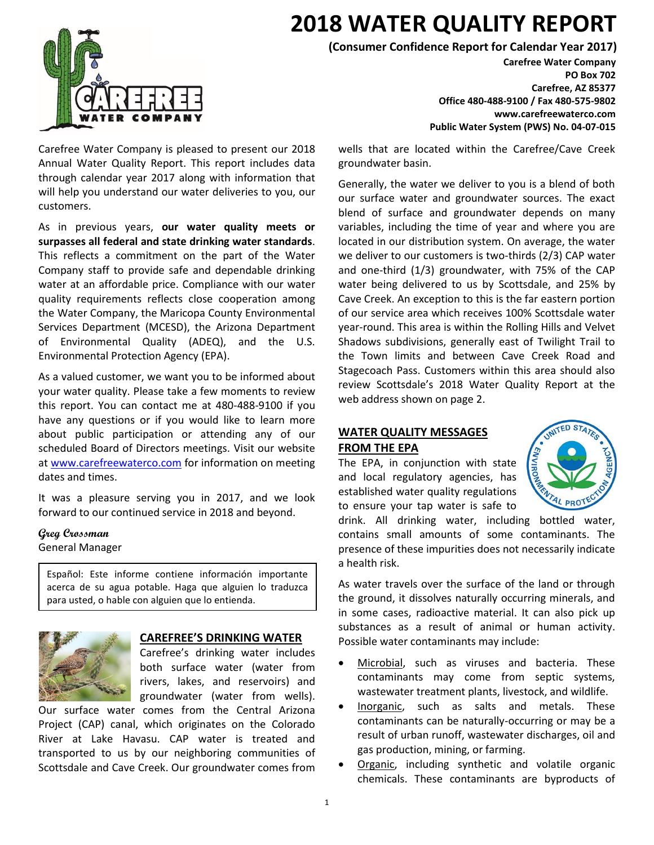

Carefree Water Company is pleased to present our 2018 Annual Water Quality Report. This report includes data through calendar year 2017 along with information that will help you understand our water deliveries to you, our customers.

As in previous years, **our water quality meets or surpasses all federal and state drinking water standards**. This reflects a commitment on the part of the Water Company staff to provide safe and dependable drinking water at an affordable price. Compliance with our water quality requirements reflects close cooperation among the Water Company, the Maricopa County Environmental Services Department (MCESD), the Arizona Department of Environmental Quality (ADEQ), and the U.S. Environmental Protection Agency (EPA).

As a valued customer, we want you to be informed about your water quality. Please take a few moments to review this report. You can contact me at 480-488-9100 if you have any questions or if you would like to learn more about public participation or attending any of our scheduled Board of Directors meetings. Visit our website at [www.carefreewaterco.com](http://www.carefreewaterco.com/) for information on meeting dates and times.

It was a pleasure serving you in 2017, and we look forward to our continued service in 2018 and beyond.

### **Greg Crossman**

General Manager

Español: Este informe contiene información importante acerca de su agua potable. Haga que alguien lo traduzca para usted, o hable con alguien que lo entienda.



#### **CAREFREE'S DRINKING WATER**

Carefree's drinking water includes both surface water (water from rivers, lakes, and reservoirs) and groundwater (water from wells).

Our surface water comes from the Central Arizona Project (CAP) canal, which originates on the Colorado River at Lake Havasu. CAP water is treated and transported to us by our neighboring communities of Scottsdale and Cave Creek. Our groundwater comes from

## **2018 WATER QUALITY REPORT**

**(Consumer Confidence Report for Calendar Year 2017)**

**Carefree Water Company PO Box 702 Carefree, AZ 85377 Office 480-488-9100 / Fax 480-575-9802 www.carefreewaterco.com Public Water System (PWS) No. 04-07-015**

wells that are located within the Carefree/Cave Creek groundwater basin.

Generally, the water we deliver to you is a blend of both our surface water and groundwater sources. The exact blend of surface and groundwater depends on many variables, including the time of year and where you are located in our distribution system. On average, the water we deliver to our customers is two-thirds (2/3) CAP water and one-third (1/3) groundwater, with 75% of the CAP water being delivered to us by Scottsdale, and 25% by Cave Creek. An exception to this is the far eastern portion of our service area which receives 100% Scottsdale water year-round. This area is within the Rolling Hills and Velvet Shadows subdivisions, generally east of Twilight Trail to the Town limits and between Cave Creek Road and Stagecoach Pass. Customers within this area should also review Scottsdale's 2018 Water Quality Report at the web address shown on page 2.

#### **WATER QUALITY MESSAGES FROM THE EPA**

The EPA, in conjunction with state and local regulatory agencies, has established water quality regulations to ensure your tap water is safe to



drink. All drinking water, including bottled water, contains small amounts of some contaminants. The presence of these impurities does not necessarily indicate a health risk.

As water travels over the surface of the land or through the ground, it dissolves naturally occurring minerals, and in some cases, radioactive material. It can also pick up substances as a result of animal or human activity. Possible water contaminants may include:

- Microbial, such as viruses and bacteria. These contaminants may come from septic systems, wastewater treatment plants, livestock, and wildlife.
- Inorganic, such as salts and metals. These contaminants can be naturally-occurring or may be a result of urban runoff, wastewater discharges, oil and gas production, mining, or farming.
- Organic, including synthetic and volatile organic chemicals. These contaminants are byproducts of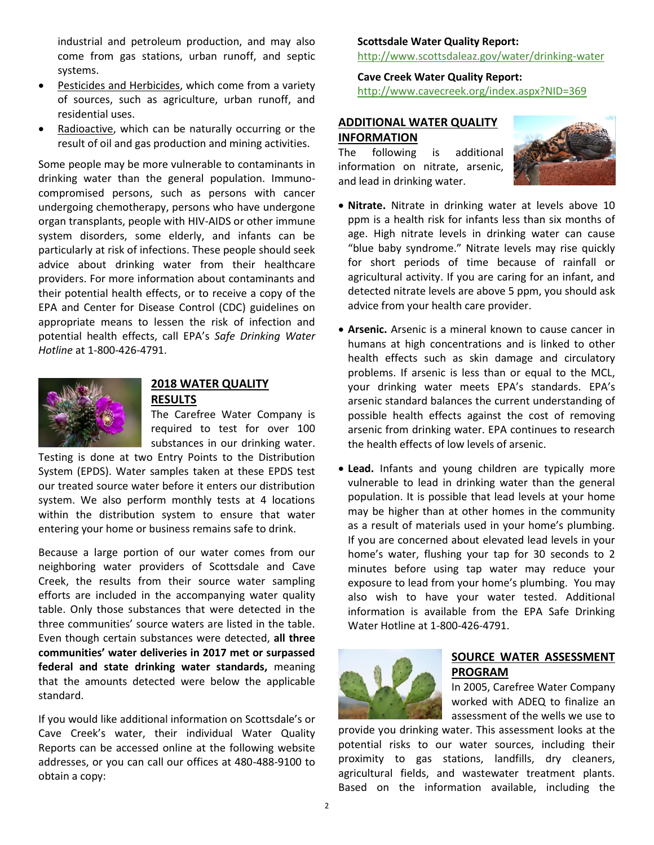industrial and petroleum production, and may also come from gas stations, urban runoff, and septic systems.

- Pesticides and Herbicides, which come from a variety of sources, such as agriculture, urban runoff, and residential uses.
- Radioactive, which can be naturally occurring or the result of oil and gas production and mining activities.

Some people may be more vulnerable to contaminants in drinking water than the general population. Immunocompromised persons, such as persons with cancer undergoing chemotherapy, persons who have undergone organ transplants, people with HIV-AIDS or other immune system disorders, some elderly, and infants can be particularly at risk of infections. These people should seek advice about drinking water from their healthcare providers. For more information about contaminants and their potential health effects, or to receive a copy of the EPA and Center for Disease Control (CDC) guidelines on appropriate means to lessen the risk of infection and potential health effects, call EPA's *Safe Drinking Water Hotline* at 1-800-426-4791.



#### **2018 WATER QUALITY RESULTS**

The Carefree Water Company is required to test for over 100 substances in our drinking water.

Testing is done at two Entry Points to the Distribution System (EPDS). Water samples taken at these EPDS test our treated source water before it enters our distribution system. We also perform monthly tests at 4 locations within the distribution system to ensure that water entering your home or business remains safe to drink.

Because a large portion of our water comes from our neighboring water providers of Scottsdale and Cave Creek, the results from their source water sampling efforts are included in the accompanying water quality table. Only those substances that were detected in the three communities' source waters are listed in the table. Even though certain substances were detected, **all three communities' water deliveries in 2017 met or surpassed federal and state drinking water standards,** meaning that the amounts detected were below the applicable standard.

If you would like additional information on Scottsdale's or Cave Creek's water, their individual Water Quality Reports can be accessed online at the following website addresses, or you can call our offices at 480-488-9100 to obtain a copy:

#### **Scottsdale Water Quality Report:** <http://www.scottsdaleaz.gov/water/drinking-water>

**Cave Creek Water Quality Report:** <http://www.cavecreek.org/index.aspx?NID=369>

#### **ADDITIONAL WATER QUALITY INFORMATION**

The following is additional information on nitrate, arsenic, and lead in drinking water.



- **Nitrate.** Nitrate in drinking water at levels above 10 ppm is a health risk for infants less than six months of age. High nitrate levels in drinking water can cause "blue baby syndrome." Nitrate levels may rise quickly for short periods of time because of rainfall or agricultural activity. If you are caring for an infant, and detected nitrate levels are above 5 ppm, you should ask advice from your health care provider.
- **Arsenic.** Arsenic is a mineral known to cause cancer in humans at high concentrations and is linked to other health effects such as skin damage and circulatory problems. If arsenic is less than or equal to the MCL, your drinking water meets EPA's standards. EPA's arsenic standard balances the current understanding of possible health effects against the cost of removing arsenic from drinking water. EPA continues to research the health effects of low levels of arsenic.
- **Lead.** Infants and young children are typically more vulnerable to lead in drinking water than the general population. It is possible that lead levels at your home may be higher than at other homes in the community as a result of materials used in your home's plumbing. If you are concerned about elevated lead levels in your home's water, flushing your tap for 30 seconds to 2 minutes before using tap water may reduce your exposure to lead from your home's plumbing. You may also wish to have your water tested. Additional information is available from the EPA Safe Drinking Water Hotline at 1-800-426-4791.



#### **SOURCE WATER ASSESSMENT PROGRAM**

In 2005, Carefree Water Company worked with ADEQ to finalize an assessment of the wells we use to

provide you drinking water. This assessment looks at the potential risks to our water sources, including their proximity to gas stations, landfills, dry cleaners, agricultural fields, and wastewater treatment plants. Based on the information available, including the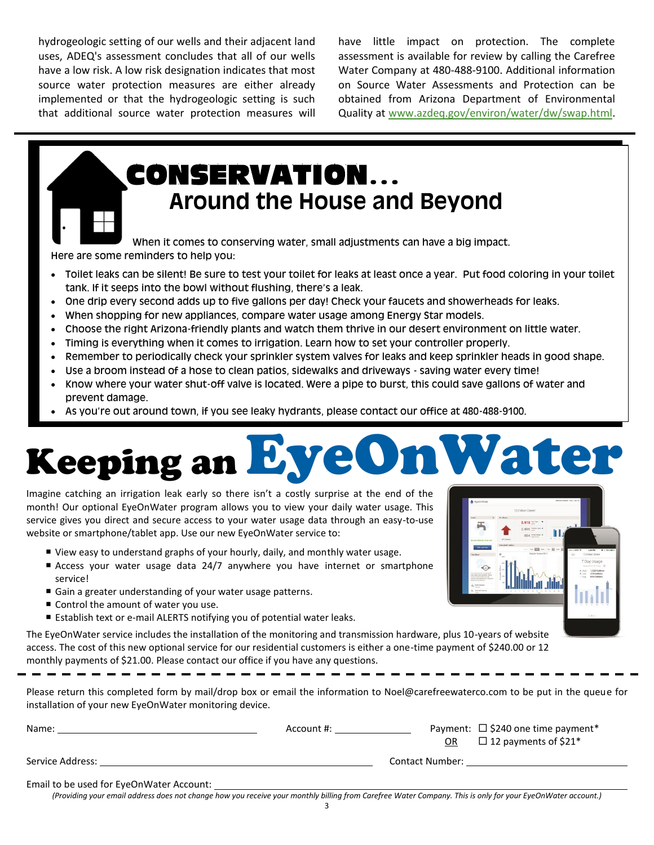hydrogeologic setting of our wells and their adjacent land uses, ADEQ's assessment concludes that all of our wells have a low risk. A low risk designation indicates that most source water protection measures are either already implemented or that the hydrogeologic setting is such that additional source water protection measures will have little impact on protection. The complete assessment is available for review by calling the Carefree Water Company at 480-488-9100. Additional information on Source Water Assessments and Protection can be obtained from Arizona Department of Environmental Quality at [www.azdeq.gov/environ/water/dw/swap.html.](http://www.azdeq.gov/environ/water/dw/swap.html)

## CONSERVATION**… Around the House and Beyond**

When it comes to conserving water, small adjustments can have a big impact. Here are some reminders to help you:

- Toilet leaks can be silent! Be sure to test your toilet for leaks at least once a year. Put food coloring in your toilet tank. If it seeps into the bowl without flushing, there's a leak.
- One drip every second adds up to five gallons per day! Check your faucets and showerheads for leaks.
- When shopping for new appliances, compare water usage among Energy Star models.
- Choose the right Arizona-friendly plants and watch them thrive in our desert environment on little water.
- Timing is everything when it comes to irrigation. Learn how to set your controller properly.
- Remember to periodically check your sprinkler system valves for leaks and keep sprinkler heads in good shape.
- Use a broom instead of a hose to clean patios, sidewalks and driveways saving water every time!
- Know where your water shut-off valve is located. Were a pipe to burst, this could save gallons of water and prevent damage.
- As you're out around town, if you see leaky hydrants, please contact our office at 480-488-9100.

# Keeping anEyeOnWater

Imagine catching an irrigation leak early so there isn't a costly surprise at the end of the month! Our optional EyeOnWater program allows you to view your daily water usage. This service gives you direct and secure access to your water usage data through an easy-to-use website or smartphone/tablet app. Use our new EyeOnWater service to:

- View easy to understand graphs of your hourly, daily, and monthly water usage.
- Access your water usage data 24/7 anywhere you have internet or smartphone service!
- Gain a greater understanding of your water usage patterns.
- Control the amount of water you use.
- Establish text or e-mail ALERTS notifying you of potential water leaks.

The EyeOnWater service includes the installation of the monitoring and transmission hardware, plus 10-years of website access. The cost of this new optional service for our residential customers is either a one-time payment of \$240.00 or 12 monthly payments of \$21.00. Please contact our office if you have any questions.

Please return this completed form by mail/drop box or email the information to Noel@carefreewaterco.com to be put in the queue for installation of your new EyeOnWater monitoring device.

| Name:                                    | Account #: |                        | Payment: $\Box$ \$240 one time payment* |
|------------------------------------------|------------|------------------------|-----------------------------------------|
|                                          |            | OR                     | $\Box$ 12 payments of \$21*             |
| Service Address:                         |            | <b>Contact Number:</b> |                                         |
| Email to be used for EyeOnWater Account: |            |                        |                                         |